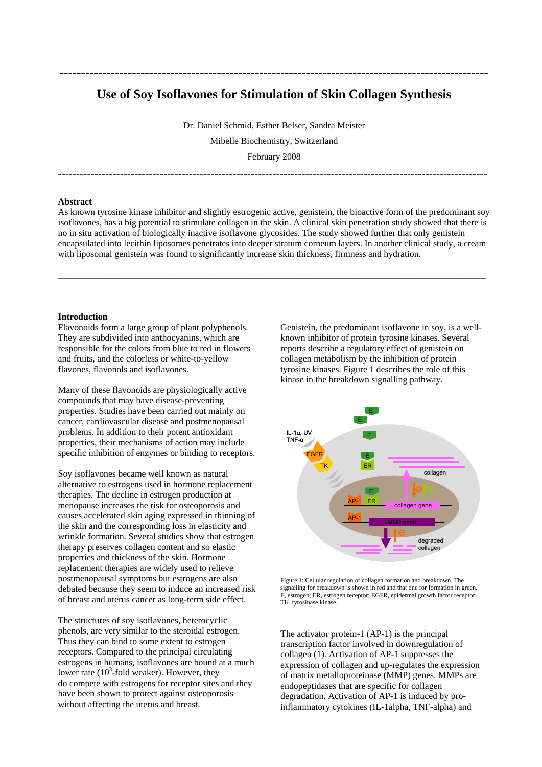# **Use of Soy Isoflavones for Stimulation of Skin Collagen Synthesis**

**-----------------------------------------------------------------------------------------------------** 

Dr. Daniel Schmid, Esther Belser, Sandra Meister Mibelle Biochemistry, Switzerland February 2008

----------------------------------------------------------------------------------------------------------------------

#### **Abstract**

As known tyrosine kinase inhibitor and slightly estrogenic active, genistein, the bioactive form of the predominant soy isoflavones, has a big potential to stimulate collagen in the skin. A clinical skin penetration study showed that there is no in situ activation of biologically inactive isoflavone glycosides. The study showed further that only genistein encapsulated into lecithin liposomes penetrates into deeper stratum corneum layers. In another clinical study, a cream with liposomal genistein was found to significantly increase skin thickness, firmness and hydration.

\_\_\_\_\_\_\_\_\_\_\_\_\_\_\_\_\_\_\_\_\_\_\_\_\_\_\_\_\_\_\_\_\_\_\_\_\_\_\_\_\_\_\_\_\_\_\_\_\_\_\_\_\_\_\_\_\_\_\_\_\_\_\_\_\_\_\_\_\_\_\_\_\_\_\_\_\_\_\_\_\_\_\_\_\_\_\_\_\_\_\_\_\_\_

#### **Introduction**

Flavonoids form a large group of plant polyphenols. They are subdivided into anthocyanins, which are responsible for the colors from blue to red in flowers and fruits, and the colorless or white-to-yellow flavones, flavonols and isoflavones.

Many of these flavonoids are physiologically active compounds that may have disease-preventing properties. Studies have been carried out mainly on cancer, cardiovascular disease and postmenopausal problems. In addition to their potent antioxidant properties, their mechanisms of action may include specific inhibition of enzymes or binding to receptors.

Soy isoflavones became well known as natural alternative to estrogens used in hormone replacement therapies. The decline in estrogen production at menopause increases the risk for osteoporosis and causes accelerated skin aging expressed in thinning of the skin and the corresponding loss in elasticity and wrinkle formation. Several studies show that estrogen therapy preserves collagen content and so elastic properties and thickness of the skin. Hormone replacement therapies are widely used to relieve postmenopausal symptoms but estrogens are also debated because they seem to induce an increased risk of breast and uterus cancer as long-term side effect.

The structures of soy isoflavones, heterocyclic phenols, are very similar to the steroidal estrogen. Thus they can bind to some extent to estrogen receptors. Compared to the principal circulating estrogens in humans, isoflavones are bound at a much lower rate  $(10^3$ -fold weaker). However, they do compete with estrogens for receptor sites and they have been shown to protect against osteoporosis without affecting the uterus and breast.

Genistein, the predominant isoflavone in soy, is a wellknown inhibitor of protein tyrosine kinases. Several reports describe a regulatory effect of genistein on collagen metabolism by the inhibition of protein tyrosine kinases. Figure 1 describes the role of this kinase in the breakdown signalling pathway.



Figure 1: Cellular regulation of collagen formation and breakdown. The signalling for breakdown is shown in red and that one for formation in green. E, estrogen; ER, estrogen receptor; EGFR, epidermal growth factor receptor; TK, tyrosinase kinase.

The activator protein-1 (AP-1) is the principal transcription factor involved in downregulation of collagen (1). Activation of AP-1 suppresses the expression of collagen and up-regulates the expression of matrix metalloproteinase (MMP) genes. MMPs are endopeptidases that are specific for collagen degradation. Activation of AP-1 is induced by proinflammatory cytokines (IL-1alpha, TNF-alpha) and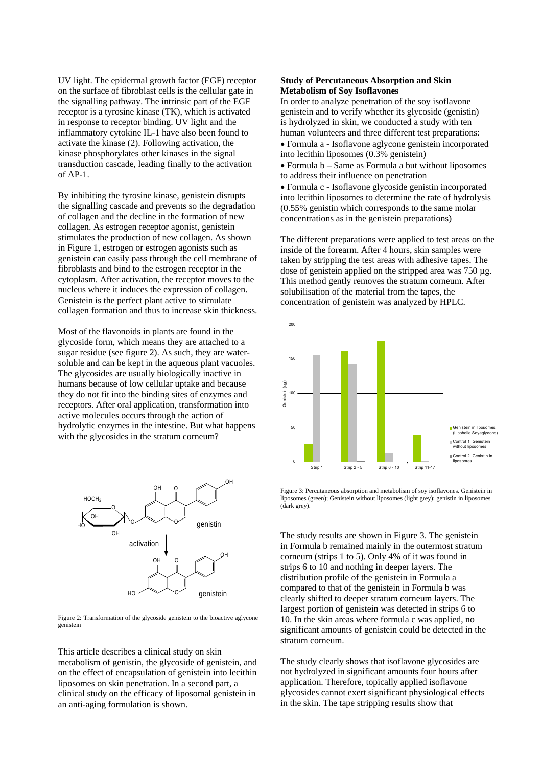UV light. The epidermal growth factor (EGF) receptor on the surface of fibroblast cells is the cellular gate in the signalling pathway. The intrinsic part of the EGF receptor is a tyrosine kinase (TK), which is activated in response to receptor binding. UV light and the inflammatory cytokine IL-1 have also been found to activate the kinase (2). Following activation, the kinase phosphorylates other kinases in the signal transduction cascade, leading finally to the activation of AP-1.

By inhibiting the tyrosine kinase, genistein disrupts the signalling cascade and prevents so the degradation of collagen and the decline in the formation of new collagen. As estrogen receptor agonist, genistein stimulates the production of new collagen. As shown in Figure 1, estrogen or estrogen agonists such as genistein can easily pass through the cell membrane of fibroblasts and bind to the estrogen receptor in the cytoplasm. After activation, the receptor moves to the nucleus where it induces the expression of collagen. Genistein is the perfect plant active to stimulate collagen formation and thus to increase skin thickness.

Most of the flavonoids in plants are found in the glycoside form, which means they are attached to a sugar residue (see figure 2). As such, they are watersoluble and can be kept in the aqueous plant vacuoles. The glycosides are usually biologically inactive in humans because of low cellular uptake and because they do not fit into the binding sites of enzymes and receptors. After oral application, transformation into active molecules occurs through the action of hydrolytic enzymes in the intestine. But what happens with the glycosides in the stratum corneum?



Figure 2: Transformation of the glycoside genistein to the bioactive aglycone genistein

This article describes a clinical study on skin metabolism of genistin, the glycoside of genistein, and on the effect of encapsulation of genistein into lecithin liposomes on skin penetration. In a second part, a clinical study on the efficacy of liposomal genistein in an anti-aging formulation is shown.

## **Study of Percutaneous Absorption and Skin Metabolism of Soy Isoflavones**

In order to analyze penetration of the soy isoflavone genistein and to verify whether its glycoside (genistin) is hydrolyzed in skin, we conducted a study with ten human volunteers and three different test preparations: • Formula a - Isoflavone aglycone genistein incorporated into lecithin liposomes (0.3% genistein)

• Formula b – Same as Formula a but without liposomes to address their influence on penetration

• Formula c - Isoflavone glycoside genistin incorporated into lecithin liposomes to determine the rate of hydrolysis (0.55% genistin which corresponds to the same molar concentrations as in the genistein preparations)

The different preparations were applied to test areas on the inside of the forearm. After 4 hours, skin samples were taken by stripping the test areas with adhesive tapes. The dose of genistein applied on the stripped area was 750 µg. This method gently removes the stratum corneum. After solubilisation of the material from the tapes, the concentration of genistein was analyzed by HPLC.



Figure 3: Percutaneous absorption and metabolism of soy isoflavones. Genistein in liposomes (green); Genistein without liposomes (light grey); genistin in liposomes (dark grey).

The study results are shown in Figure 3. The genistein in Formula b remained mainly in the outermost stratum corneum (strips 1 to 5). Only 4% of it was found in strips 6 to 10 and nothing in deeper layers. The distribution profile of the genistein in Formula a compared to that of the genistein in Formula b was clearly shifted to deeper stratum corneum layers. The largest portion of genistein was detected in strips 6 to 10. In the skin areas where formula c was applied, no significant amounts of genistein could be detected in the stratum corneum.

The study clearly shows that isoflavone glycosides are not hydrolyzed in significant amounts four hours after application. Therefore, topically applied isoflavone glycosides cannot exert significant physiological effects in the skin. The tape stripping results show that